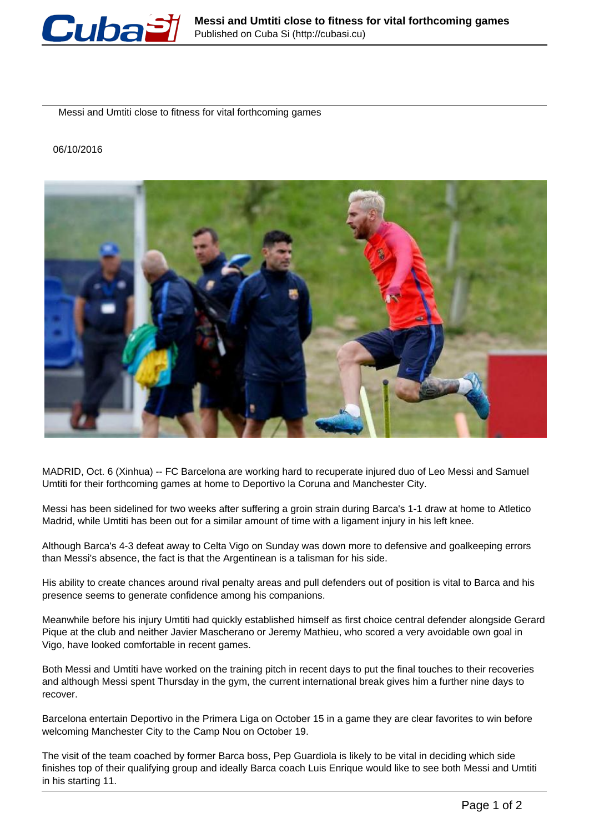

Messi and Umtiti close to fitness for vital forthcoming games

## 06/10/2016



MADRID, Oct. 6 (Xinhua) -- FC Barcelona are working hard to recuperate injured duo of Leo Messi and Samuel Umtiti for their forthcoming games at home to Deportivo la Coruna and Manchester City.

Messi has been sidelined for two weeks after suffering a groin strain during Barca's 1-1 draw at home to Atletico Madrid, while Umtiti has been out for a similar amount of time with a ligament injury in his left knee.

Although Barca's 4-3 defeat away to Celta Vigo on Sunday was down more to defensive and goalkeeping errors than Messi's absence, the fact is that the Argentinean is a talisman for his side.

His ability to create chances around rival penalty areas and pull defenders out of position is vital to Barca and his presence seems to generate confidence among his companions.

Meanwhile before his injury Umtiti had quickly established himself as first choice central defender alongside Gerard Pique at the club and neither Javier Mascherano or Jeremy Mathieu, who scored a very avoidable own goal in Vigo, have looked comfortable in recent games.

Both Messi and Umtiti have worked on the training pitch in recent days to put the final touches to their recoveries and although Messi spent Thursday in the gym, the current international break gives him a further nine days to recover.

Barcelona entertain Deportivo in the Primera Liga on October 15 in a game they are clear favorites to win before welcoming Manchester City to the Camp Nou on October 19.

The visit of the team coached by former Barca boss, Pep Guardiola is likely to be vital in deciding which side finishes top of their qualifying group and ideally Barca coach Luis Enrique would like to see both Messi and Umtiti in his starting 11.